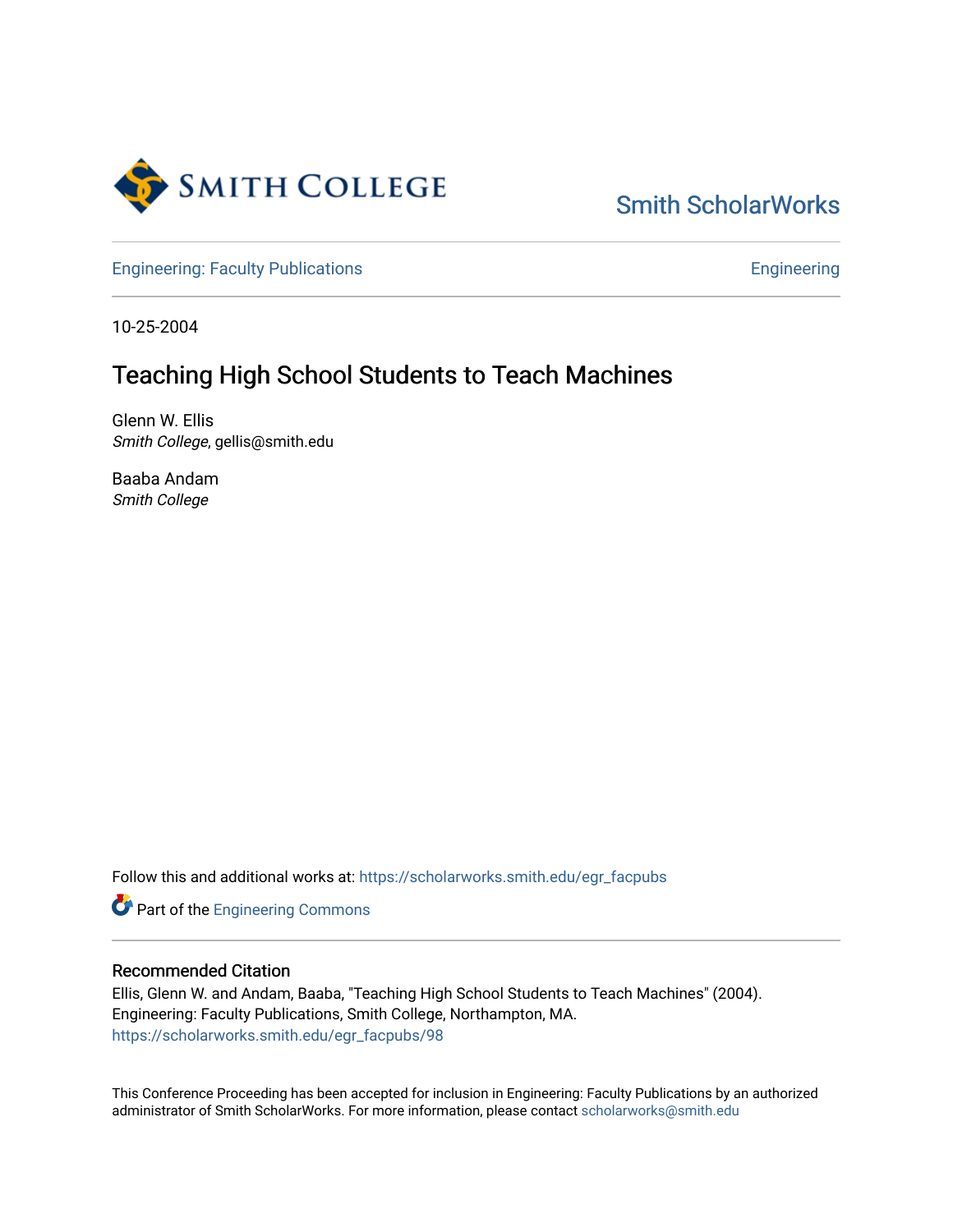

# [Smith ScholarWorks](https://scholarworks.smith.edu/)

[Engineering: Faculty Publications](https://scholarworks.smith.edu/egr_facpubs) **Engineering** 

10-25-2004

## Teaching High School Students to Teach Machines

Glenn W. Ellis Smith College, gellis@smith.edu

Baaba Andam Smith College

Follow this and additional works at: [https://scholarworks.smith.edu/egr\\_facpubs](https://scholarworks.smith.edu/egr_facpubs?utm_source=scholarworks.smith.edu%2Fegr_facpubs%2F98&utm_medium=PDF&utm_campaign=PDFCoverPages) 

Part of the [Engineering Commons](http://network.bepress.com/hgg/discipline/217?utm_source=scholarworks.smith.edu%2Fegr_facpubs%2F98&utm_medium=PDF&utm_campaign=PDFCoverPages)

#### Recommended Citation

Ellis, Glenn W. and Andam, Baaba, "Teaching High School Students to Teach Machines" (2004). Engineering: Faculty Publications, Smith College, Northampton, MA. [https://scholarworks.smith.edu/egr\\_facpubs/98](https://scholarworks.smith.edu/egr_facpubs/98?utm_source=scholarworks.smith.edu%2Fegr_facpubs%2F98&utm_medium=PDF&utm_campaign=PDFCoverPages)

This Conference Proceeding has been accepted for inclusion in Engineering: Faculty Publications by an authorized administrator of Smith ScholarWorks. For more information, please contact [scholarworks@smith.edu](mailto:scholarworks@smith.edu)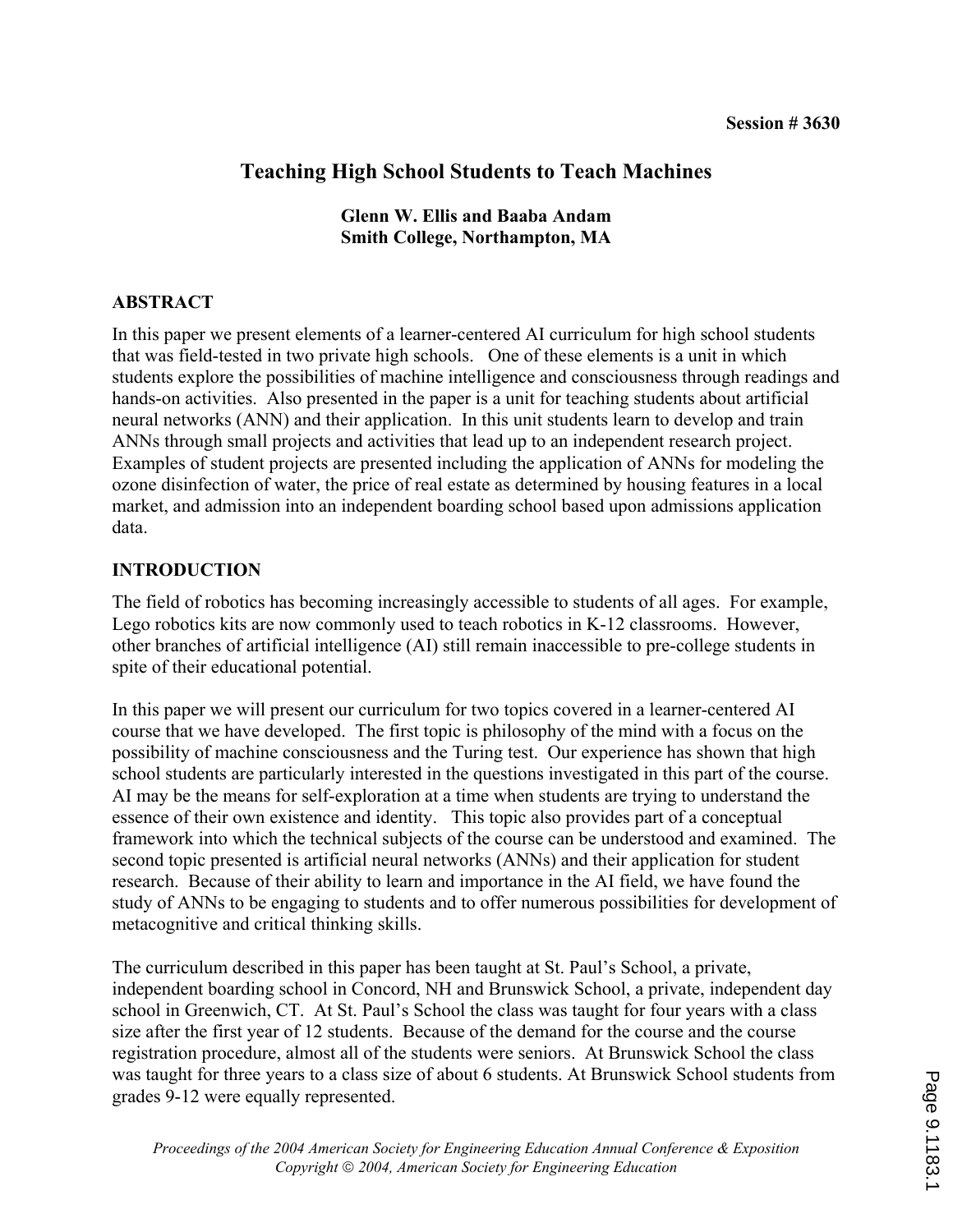## **Teaching High School Students to Teach Machines**

**Glenn W. Ellis and Baaba Andam Smith College, Northampton, MA** 

### **ABSTRACT**

In this paper we present elements of a learner-centered AI curriculum for high school students that was field-tested in two private high schools. One of these elements is a unit in which students explore the possibilities of machine intelligence and consciousness through readings and hands-on activities. Also presented in the paper is a unit for teaching students about artificial neural networks (ANN) and their application. In this unit students learn to develop and train ANNs through small projects and activities that lead up to an independent research project. Examples of student projects are presented including the application of ANNs for modeling the ozone disinfection of water, the price of real estate as determined by housing features in a local market, and admission into an independent boarding school based upon admissions application data.

### **INTRODUCTION**

The field of robotics has becoming increasingly accessible to students of all ages. For example, Lego robotics kits are now commonly used to teach robotics in K-12 classrooms. However, other branches of artificial intelligence (AI) still remain inaccessible to pre-college students in spite of their educational potential.

In this paper we will present our curriculum for two topics covered in a learner-centered AI course that we have developed. The first topic is philosophy of the mind with a focus on the possibility of machine consciousness and the Turing test. Our experience has shown that high school students are particularly interested in the questions investigated in this part of the course. AI may be the means for self-exploration at a time when students are trying to understand the essence of their own existence and identity. This topic also provides part of a conceptual framework into which the technical subjects of the course can be understood and examined. The second topic presented is artificial neural networks (ANNs) and their application for student research. Because of their ability to learn and importance in the AI field, we have found the study of ANNs to be engaging to students and to offer numerous possibilities for development of metacognitive and critical thinking skills.

The curriculum described in this paper has been taught at St. Paul's School, a private, independent boarding school in Concord, NH and Brunswick School, a private, independent day school in Greenwich, CT. At St. Paul's School the class was taught for four years with a class size after the first year of 12 students. Because of the demand for the course and the course registration procedure, almost all of the students were seniors. At Brunswick School the class was taught for three years to a class size of about 6 students. At Brunswick School students from grades 9-12 were equally represented.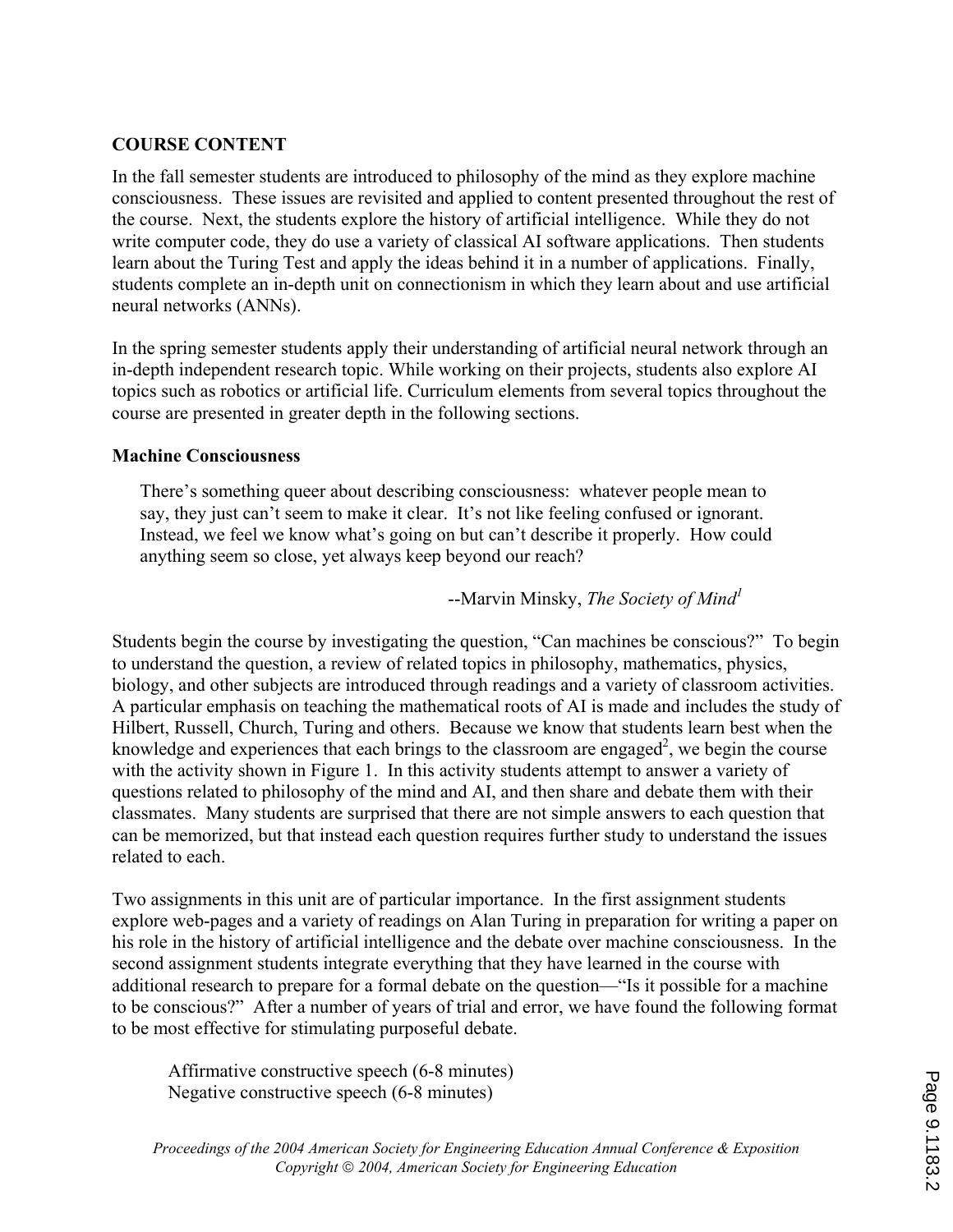### **COURSE CONTENT**

In the fall semester students are introduced to philosophy of the mind as they explore machine consciousness. These issues are revisited and applied to content presented throughout the rest of the course. Next, the students explore the history of artificial intelligence. While they do not write computer code, they do use a variety of classical AI software applications. Then students learn about the Turing Test and apply the ideas behind it in a number of applications. Finally, students complete an in-depth unit on connectionism in which they learn about and use artificial neural networks (ANNs).

In the spring semester students apply their understanding of artificial neural network through an in-depth independent research topic. While working on their projects, students also explore AI topics such as robotics or artificial life. Curriculum elements from several topics throughout the course are presented in greater depth in the following sections.

### **Machine Consciousness**

There's something queer about describing consciousness: whatever people mean to say, they just can't seem to make it clear. It's not like feeling confused or ignorant. Instead, we feel we know what's going on but can't describe it properly. How could anything seem so close, yet always keep beyond our reach?

### --Marvin Minsky, *The Society of Mind<sup>1</sup>*

Students begin the course by investigating the question, "Can machines be conscious?" To begin to understand the question, a review of related topics in philosophy, mathematics, physics, biology, and other subjects are introduced through readings and a variety of classroom activities. A particular emphasis on teaching the mathematical roots of AI is made and includes the study of Hilbert, Russell, Church, Turing and others. Because we know that students learn best when the knowledge and experiences that each brings to the classroom are engaged<sup>2</sup>, we begin the course with the activity shown in Figure 1. In this activity students attempt to answer a variety of questions related to philosophy of the mind and AI, and then share and debate them with their classmates. Many students are surprised that there are not simple answers to each question that can be memorized, but that instead each question requires further study to understand the issues related to each.

Two assignments in this unit are of particular importance. In the first assignment students explore web-pages and a variety of readings on Alan Turing in preparation for writing a paper on his role in the history of artificial intelligence and the debate over machine consciousness. In the second assignment students integrate everything that they have learned in the course with additional research to prepare for a formal debate on the question—"Is it possible for a machine to be conscious?" After a number of years of trial and error, we have found the following format to be most effective for stimulating purposeful debate.

Affirmative constructive speech (6-8 minutes) Negative constructive speech (6-8 minutes)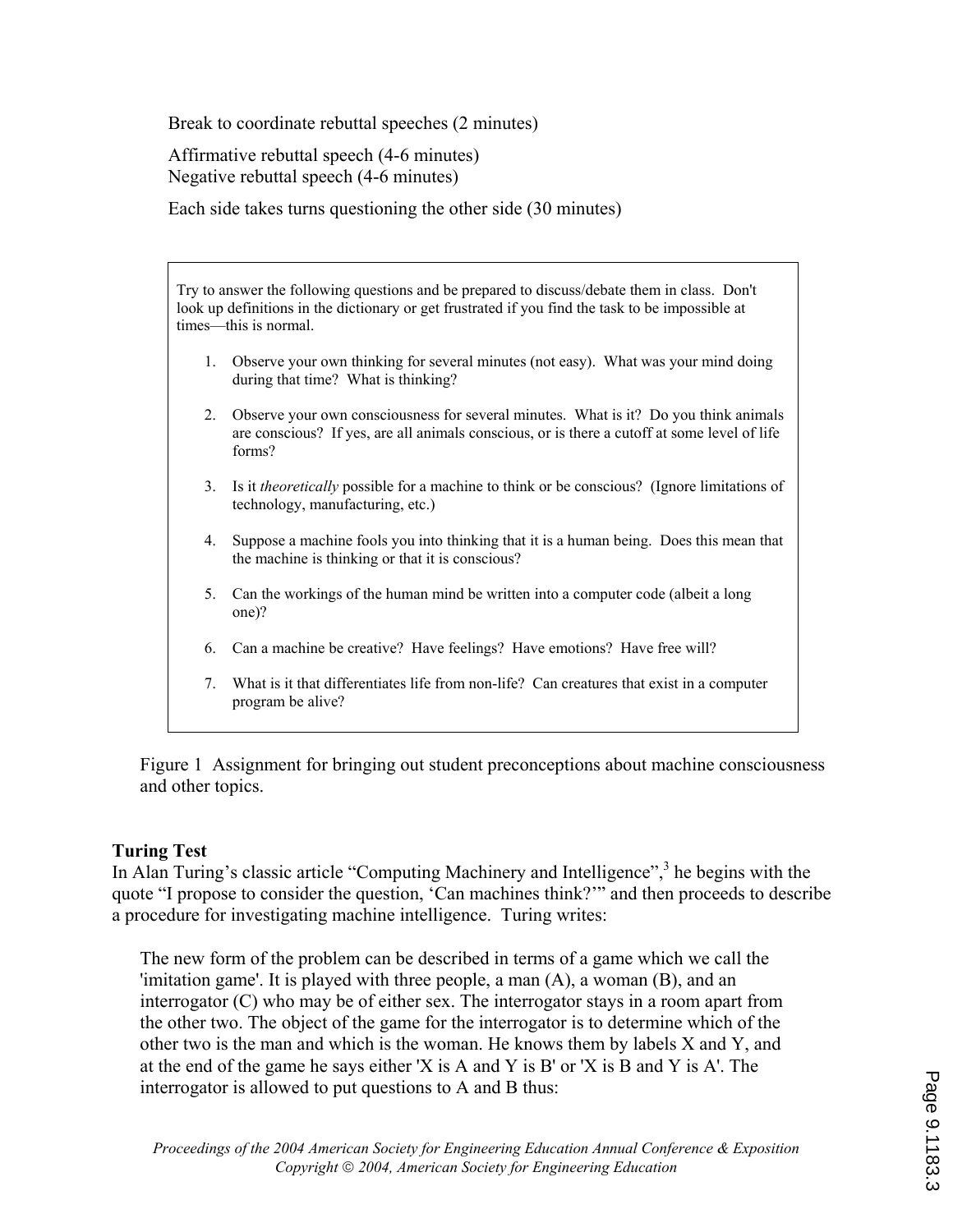Break to coordinate rebuttal speeches (2 minutes)

Affirmative rebuttal speech (4-6 minutes) Negative rebuttal speech (4-6 minutes)

Each side takes turns questioning the other side (30 minutes)

Try to answer the following questions and be prepared to discuss/debate them in class. Don't look up definitions in the dictionary or get frustrated if you find the task to be impossible at times—this is normal.

- 1. Observe your own thinking for several minutes (not easy). What was your mind doing during that time? What is thinking?
- 2. Observe your own consciousness for several minutes. What is it? Do you think animals are conscious? If yes, are all animals conscious, or is there a cutoff at some level of life forms?
- 3. Is it *theoretically* possible for a machine to think or be conscious? (Ignore limitations of technology, manufacturing, etc.)
- 4. Suppose a machine fools you into thinking that it is a human being. Does this mean that the machine is thinking or that it is conscious?
- 5. Can the workings of the human mind be written into a computer code (albeit a long one)?
- 6. Can a machine be creative? Have feelings? Have emotions? Have free will?
- 7. What is it that differentiates life from non-life? Can creatures that exist in a computer program be alive?

Figure 1 Assignment for bringing out student preconceptions about machine consciousness and other topics.

### **Turing Test**

In Alan Turing's classic article "Computing Machinery and Intelligence",<sup>3</sup> he begins with the quote "I propose to consider the question, 'Can machines think?'" and then proceeds to describe a procedure for investigating machine intelligence. Turing writes:

The new form of the problem can be described in terms of a game which we call the 'imitation game'. It is played with three people, a man (A), a woman (B), and an interrogator (C) who may be of either sex. The interrogator stays in a room apart from the other two. The object of the game for the interrogator is to determine which of the other two is the man and which is the woman. He knows them by labels X and Y, and at the end of the game he says either 'X is A and Y is B' or 'X is B and Y is A'. The interrogator is allowed to put questions to A and B thus: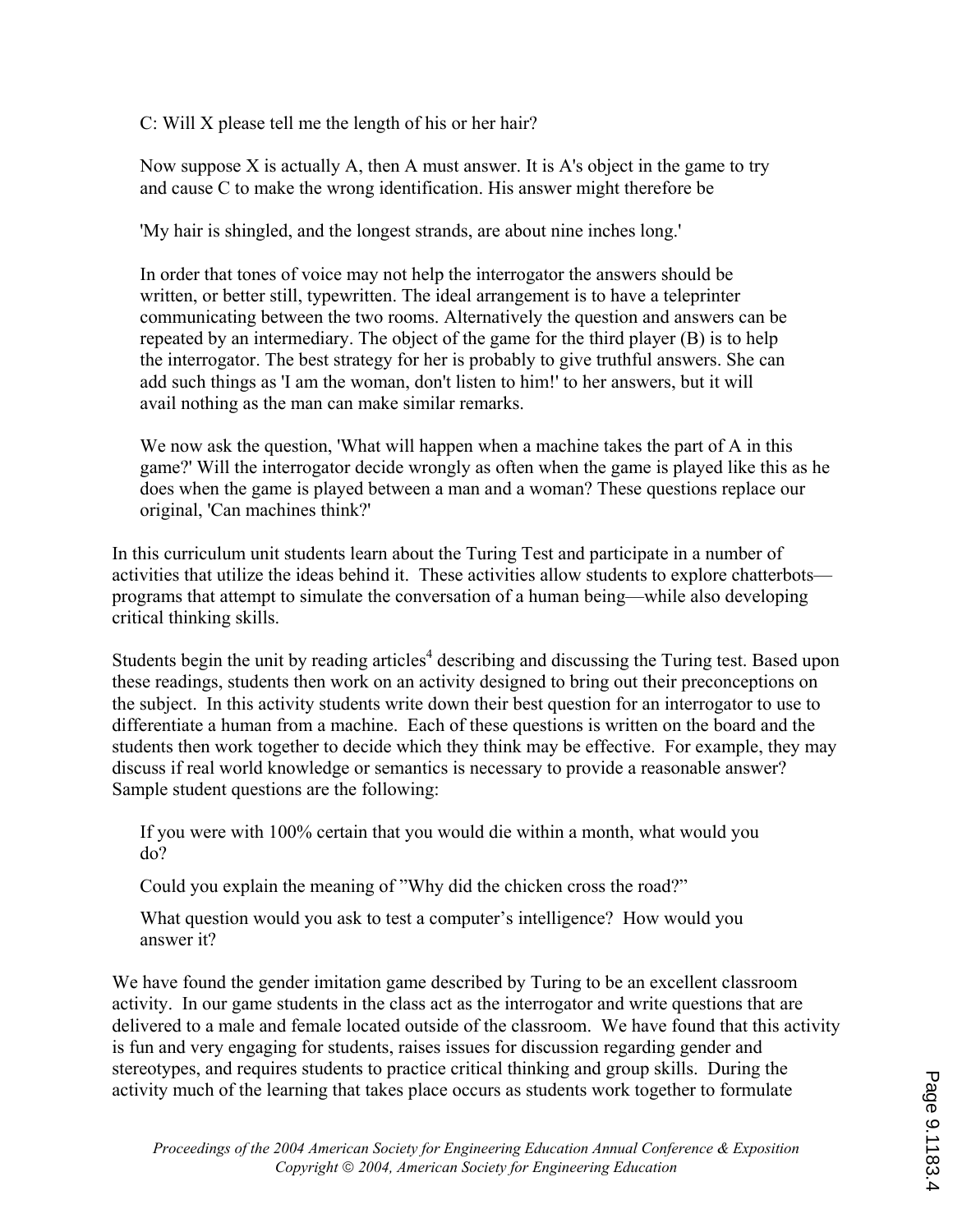C: Will X please tell me the length of his or her hair?

Now suppose X is actually A, then A must answer. It is A's object in the game to try and cause C to make the wrong identification. His answer might therefore be

'My hair is shingled, and the longest strands, are about nine inches long.'

In order that tones of voice may not help the interrogator the answers should be written, or better still, typewritten. The ideal arrangement is to have a teleprinter communicating between the two rooms. Alternatively the question and answers can be repeated by an intermediary. The object of the game for the third player (B) is to help the interrogator. The best strategy for her is probably to give truthful answers. She can add such things as 'I am the woman, don't listen to him!' to her answers, but it will avail nothing as the man can make similar remarks.

We now ask the question, 'What will happen when a machine takes the part of A in this game?' Will the interrogator decide wrongly as often when the game is played like this as he does when the game is played between a man and a woman? These questions replace our original, 'Can machines think?'

In this curriculum unit students learn about the Turing Test and participate in a number of activities that utilize the ideas behind it. These activities allow students to explore chatterbots programs that attempt to simulate the conversation of a human being—while also developing critical thinking skills.

Students begin the unit by reading articles<sup>4</sup> describing and discussing the Turing test. Based upon these readings, students then work on an activity designed to bring out their preconceptions on the subject. In this activity students write down their best question for an interrogator to use to differentiate a human from a machine. Each of these questions is written on the board and the students then work together to decide which they think may be effective. For example, they may discuss if real world knowledge or semantics is necessary to provide a reasonable answer? Sample student questions are the following:

If you were with 100% certain that you would die within a month, what would you do?

Could you explain the meaning of "Why did the chicken cross the road?"

What question would you ask to test a computer's intelligence? How would you answer it?

We have found the gender imitation game described by Turing to be an excellent classroom activity. In our game students in the class act as the interrogator and write questions that are delivered to a male and female located outside of the classroom. We have found that this activity is fun and very engaging for students, raises issues for discussion regarding gender and stereotypes, and requires students to practice critical thinking and group skills. During the activity much of the learning that takes place occurs as students work together to formulate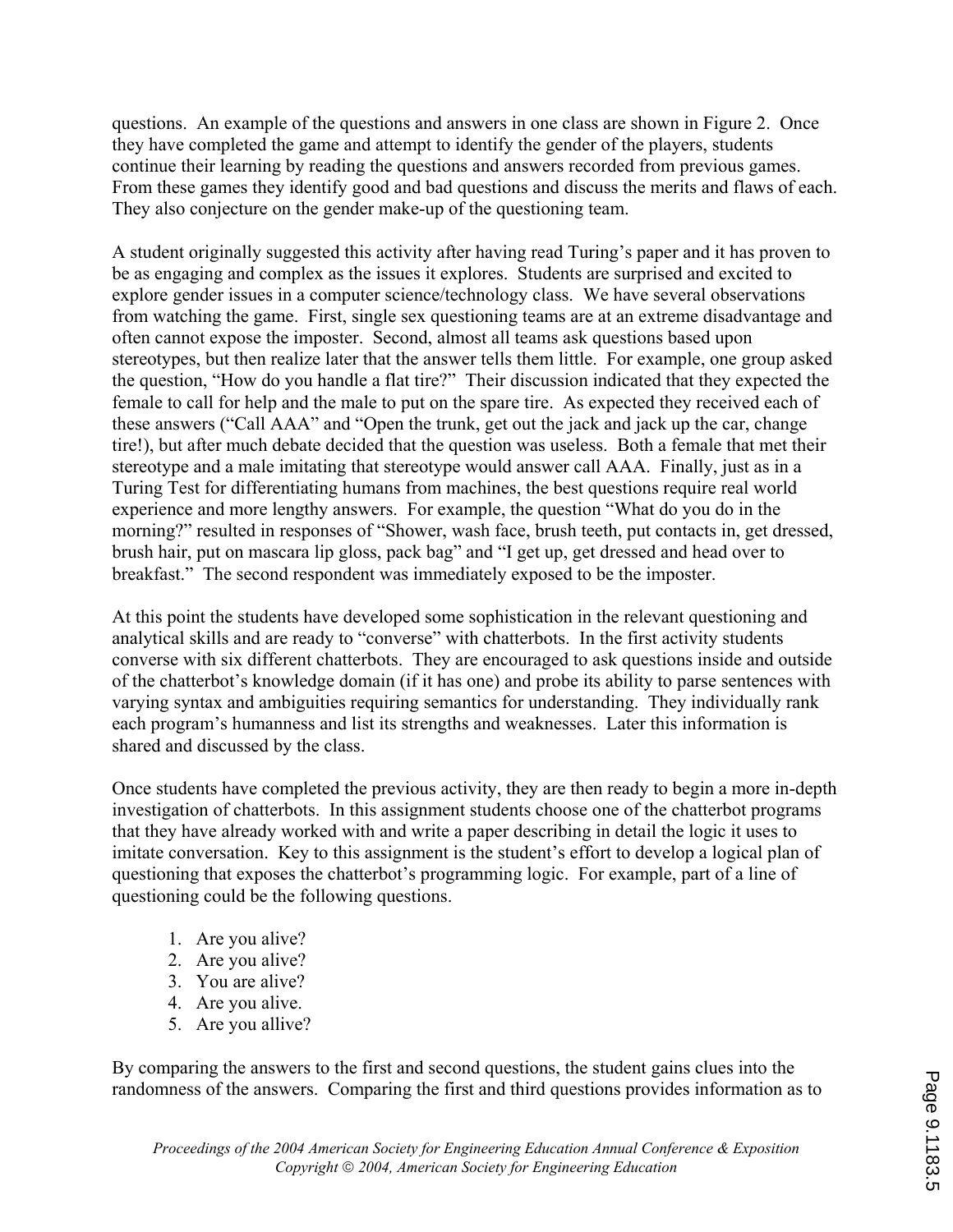questions. An example of the questions and answers in one class are shown in Figure 2. Once they have completed the game and attempt to identify the gender of the players, students continue their learning by reading the questions and answers recorded from previous games. From these games they identify good and bad questions and discuss the merits and flaws of each. They also conjecture on the gender make-up of the questioning team.

A student originally suggested this activity after having read Turing's paper and it has proven to be as engaging and complex as the issues it explores. Students are surprised and excited to explore gender issues in a computer science/technology class. We have several observations from watching the game. First, single sex questioning teams are at an extreme disadvantage and often cannot expose the imposter. Second, almost all teams ask questions based upon stereotypes, but then realize later that the answer tells them little. For example, one group asked the question, "How do you handle a flat tire?" Their discussion indicated that they expected the female to call for help and the male to put on the spare tire. As expected they received each of these answers ("Call AAA" and "Open the trunk, get out the jack and jack up the car, change tire!), but after much debate decided that the question was useless. Both a female that met their stereotype and a male imitating that stereotype would answer call AAA. Finally, just as in a Turing Test for differentiating humans from machines, the best questions require real world experience and more lengthy answers. For example, the question "What do you do in the morning?" resulted in responses of "Shower, wash face, brush teeth, put contacts in, get dressed, brush hair, put on mascara lip gloss, pack bag" and "I get up, get dressed and head over to breakfast." The second respondent was immediately exposed to be the imposter.

At this point the students have developed some sophistication in the relevant questioning and analytical skills and are ready to "converse" with chatterbots. In the first activity students converse with six different chatterbots. They are encouraged to ask questions inside and outside of the chatterbot's knowledge domain (if it has one) and probe its ability to parse sentences with varying syntax and ambiguities requiring semantics for understanding. They individually rank each program's humanness and list its strengths and weaknesses. Later this information is shared and discussed by the class.

Once students have completed the previous activity, they are then ready to begin a more in-depth investigation of chatterbots. In this assignment students choose one of the chatterbot programs that they have already worked with and write a paper describing in detail the logic it uses to imitate conversation. Key to this assignment is the student's effort to develop a logical plan of questioning that exposes the chatterbot's programming logic. For example, part of a line of questioning could be the following questions.

- 1. Are you alive?
- 2. Are you alive?
- 3. You are alive?
- 4. Are you alive.
- 5. Are you allive?

By comparing the answers to the first and second questions, the student gains clues into the randomness of the answers. Comparing the first and third questions provides information as to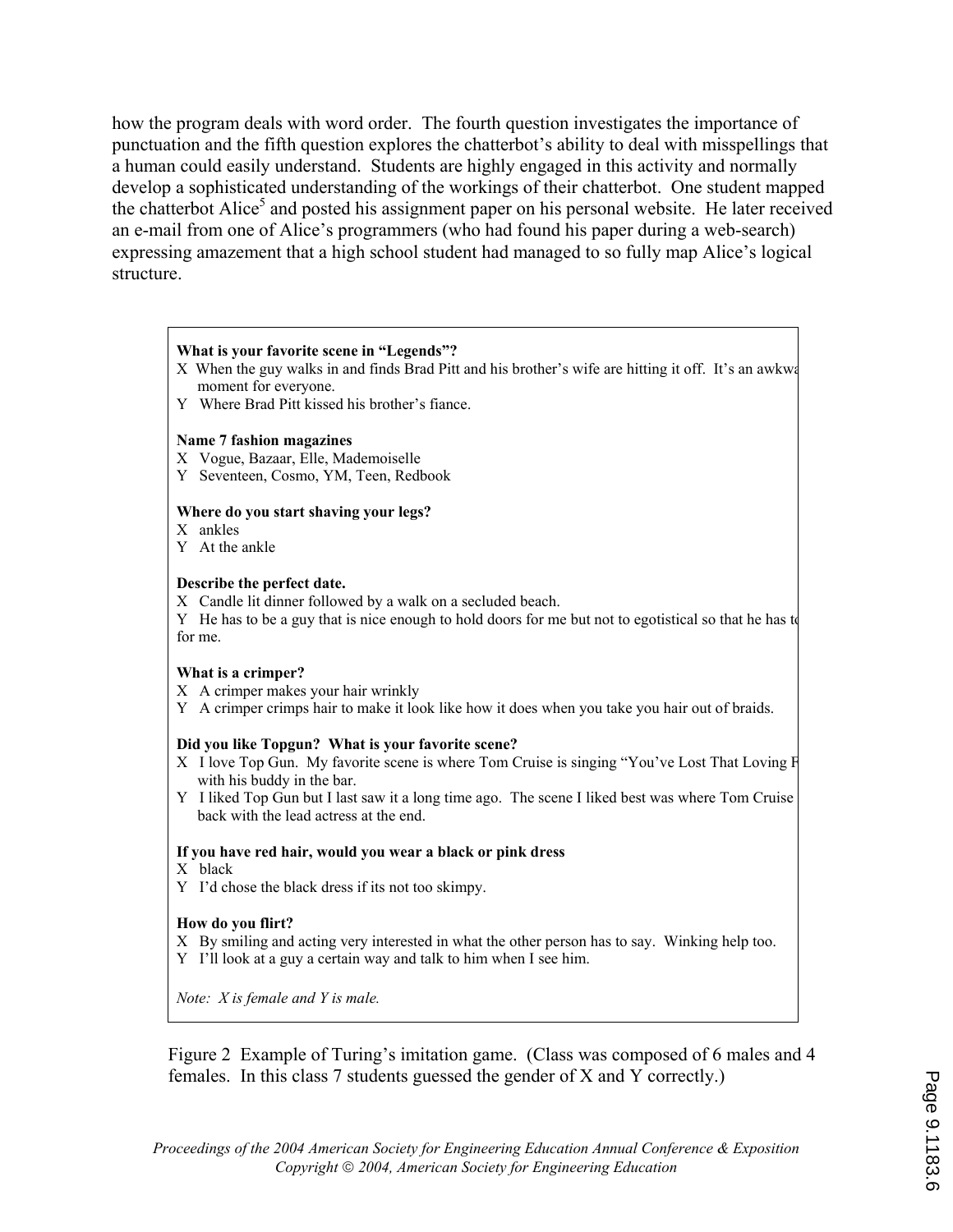how the program deals with word order. The fourth question investigates the importance of punctuation and the fifth question explores the chatterbot's ability to deal with misspellings that a human could easily understand. Students are highly engaged in this activity and normally develop a sophisticated understanding of the workings of their chatterbot. One student mapped the chatterbot Alice<sup>5</sup> and posted his assignment paper on his personal website. He later received an e-mail from one of Alice's programmers (who had found his paper during a web-search) expressing amazement that a high school student had managed to so fully map Alice's logical structure.

### **What is your favorite scene in "Legends"?**

- X When the guy walks in and finds Brad Pitt and his brother's wife are hitting it off. It's an awkwa moment for everyone.
- Y Where Brad Pitt kissed his brother's fiance.

#### **Name 7 fashion magazines**

- X Vogue, Bazaar, Elle, Mademoiselle
- Y Seventeen, Cosmo, YM, Teen, Redbook

#### **Where do you start shaving your legs?**

- X ankles
- Y At the ankle

#### **Describe the perfect date.**

X Candle lit dinner followed by a walk on a secluded beach.

Y He has to be a guy that is nice enough to hold doors for me but not to egotistical so that he has to for me.

#### **What is a crimper?**

- X A crimper makes your hair wrinkly
- Y A crimper crimps hair to make it look like how it does when you take you hair out of braids.

#### **Did you like Topgun? What is your favorite scene?**

- X I love Top Gun. My favorite scene is where Tom Cruise is singing "You've Lost That Loving F with his buddy in the bar.
- Y I liked Top Gun but I last saw it a long time ago. The scene I liked best was where Tom Cruise g back with the lead actress at the end.

#### **If you have red hair, would you wear a black or pink dress**

- X black
- Y I'd chose the black dress if its not too skimpy.

#### **How do you flirt?**

- X By smiling and acting very interested in what the other person has to say. Winking help too.
- Y I'll look at a guy a certain way and talk to him when I see him.

*Note: X is female and Y is male.*

Figure 2 Example of Turing's imitation game. (Class was composed of 6 males and 4 females. In this class 7 students guessed the gender of X and Y correctly.)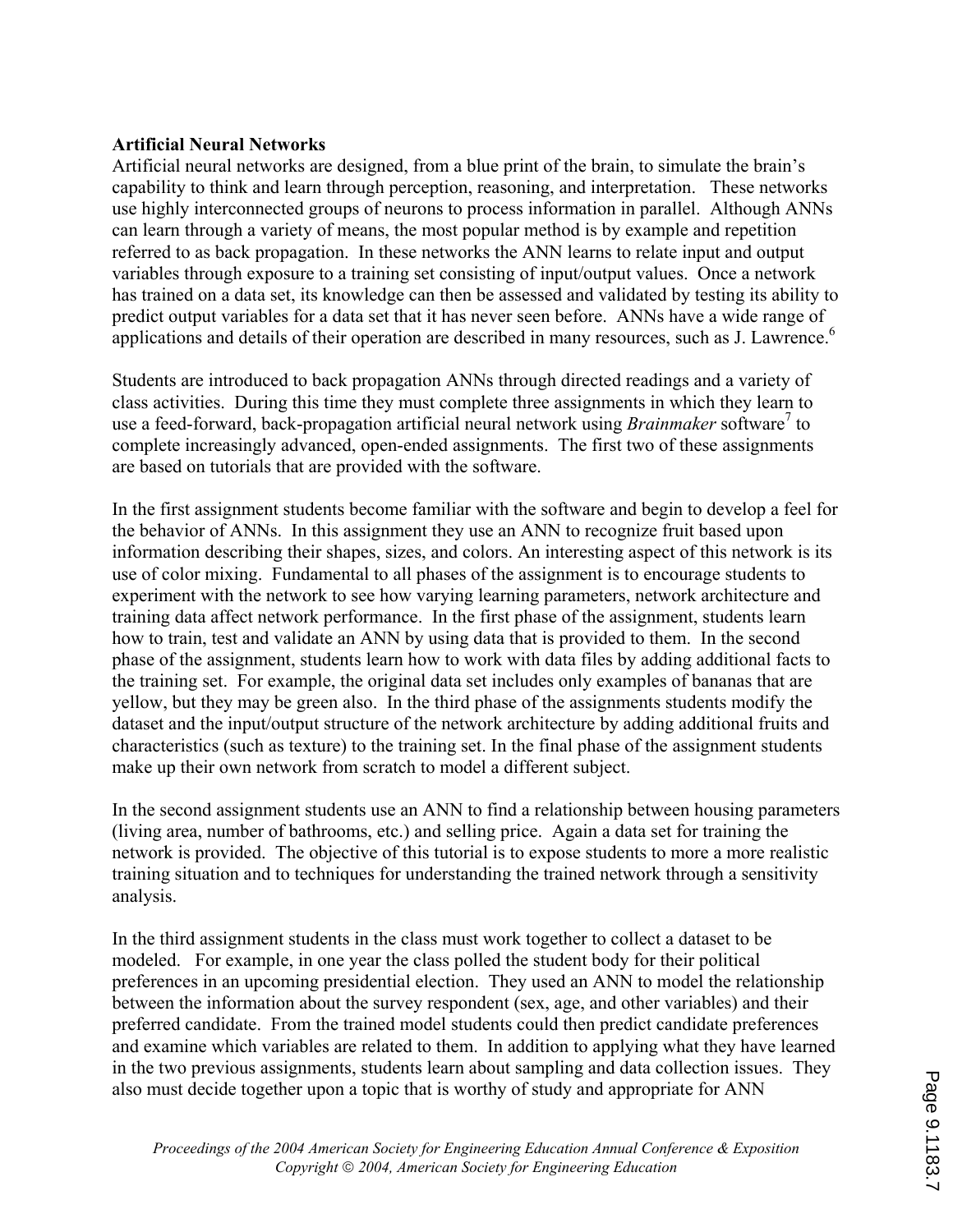### **Artificial Neural Networks**

Artificial neural networks are designed, from a blue print of the brain, to simulate the brain's capability to think and learn through perception, reasoning, and interpretation. These networks use highly interconnected groups of neurons to process information in parallel. Although ANNs can learn through a variety of means, the most popular method is by example and repetition referred to as back propagation. In these networks the ANN learns to relate input and output variables through exposure to a training set consisting of input/output values. Once a network has trained on a data set, its knowledge can then be assessed and validated by testing its ability to predict output variables for a data set that it has never seen before. ANNs have a wide range of applications and details of their operation are described in many resources, such as J. Lawrence.<sup>6</sup>

Students are introduced to back propagation ANNs through directed readings and a variety of class activities. During this time they must complete three assignments in which they learn to use a feed-forward, back-propagation artificial neural network using *Brainmaker* software<sup>7</sup> to complete increasingly advanced, open-ended assignments. The first two of these assignments are based on tutorials that are provided with the software.

In the first assignment students become familiar with the software and begin to develop a feel for the behavior of ANNs. In this assignment they use an ANN to recognize fruit based upon information describing their shapes, sizes, and colors. An interesting aspect of this network is its use of color mixing. Fundamental to all phases of the assignment is to encourage students to experiment with the network to see how varying learning parameters, network architecture and training data affect network performance. In the first phase of the assignment, students learn how to train, test and validate an ANN by using data that is provided to them. In the second phase of the assignment, students learn how to work with data files by adding additional facts to the training set. For example, the original data set includes only examples of bananas that are yellow, but they may be green also. In the third phase of the assignments students modify the dataset and the input/output structure of the network architecture by adding additional fruits and characteristics (such as texture) to the training set. In the final phase of the assignment students make up their own network from scratch to model a different subject.

In the second assignment students use an ANN to find a relationship between housing parameters (living area, number of bathrooms, etc.) and selling price. Again a data set for training the network is provided. The objective of this tutorial is to expose students to more a more realistic training situation and to techniques for understanding the trained network through a sensitivity analysis.

In the third assignment students in the class must work together to collect a dataset to be modeled. For example, in one year the class polled the student body for their political preferences in an upcoming presidential election. They used an ANN to model the relationship between the information about the survey respondent (sex, age, and other variables) and their preferred candidate. From the trained model students could then predict candidate preferences and examine which variables are related to them. In addition to applying what they have learned in the two previous assignments, students learn about sampling and data collection issues. They also must decide together upon a topic that is worthy of study and appropriate for ANN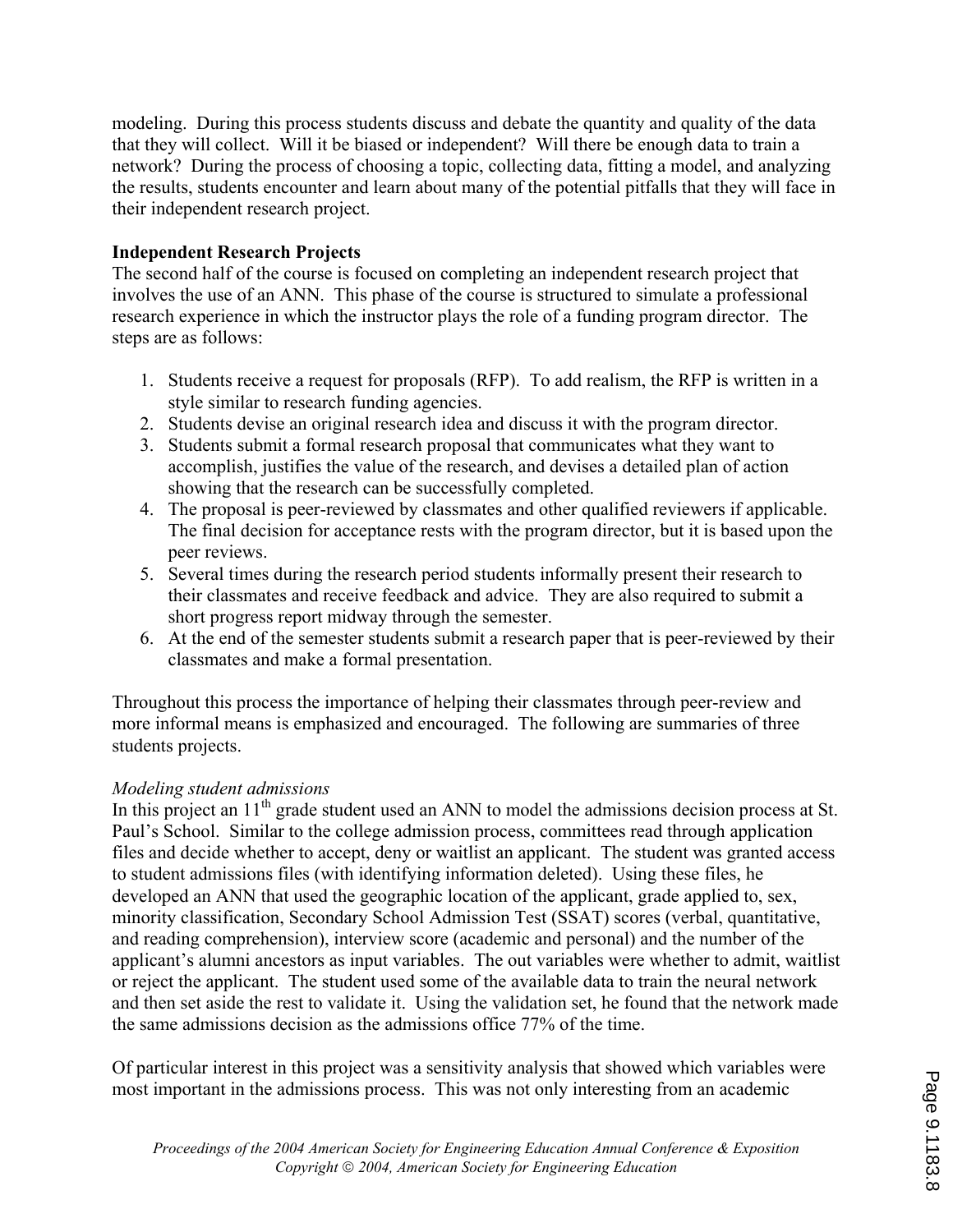modeling. During this process students discuss and debate the quantity and quality of the data that they will collect. Will it be biased or independent? Will there be enough data to train a network? During the process of choosing a topic, collecting data, fitting a model, and analyzing the results, students encounter and learn about many of the potential pitfalls that they will face in their independent research project.

### **Independent Research Projects**

The second half of the course is focused on completing an independent research project that involves the use of an ANN. This phase of the course is structured to simulate a professional research experience in which the instructor plays the role of a funding program director. The steps are as follows:

- 1. Students receive a request for proposals (RFP). To add realism, the RFP is written in a style similar to research funding agencies.
- 2. Students devise an original research idea and discuss it with the program director.
- 3. Students submit a formal research proposal that communicates what they want to accomplish, justifies the value of the research, and devises a detailed plan of action showing that the research can be successfully completed.
- 4. The proposal is peer-reviewed by classmates and other qualified reviewers if applicable. The final decision for acceptance rests with the program director, but it is based upon the peer reviews.
- 5. Several times during the research period students informally present their research to their classmates and receive feedback and advice. They are also required to submit a short progress report midway through the semester.
- 6. At the end of the semester students submit a research paper that is peer-reviewed by their classmates and make a formal presentation.

Throughout this process the importance of helping their classmates through peer-review and more informal means is emphasized and encouraged. The following are summaries of three students projects.

### *Modeling student admissions*

In this project an  $11<sup>th</sup>$  grade student used an ANN to model the admissions decision process at St. Paul's School. Similar to the college admission process, committees read through application files and decide whether to accept, deny or waitlist an applicant. The student was granted access to student admissions files (with identifying information deleted). Using these files, he developed an ANN that used the geographic location of the applicant, grade applied to, sex, minority classification, Secondary School Admission Test (SSAT) scores (verbal, quantitative, and reading comprehension), interview score (academic and personal) and the number of the applicant's alumni ancestors as input variables. The out variables were whether to admit, waitlist or reject the applicant. The student used some of the available data to train the neural network and then set aside the rest to validate it. Using the validation set, he found that the network made the same admissions decision as the admissions office 77% of the time.

Of particular interest in this project was a sensitivity analysis that showed which variables were most important in the admissions process. This was not only interesting from an academic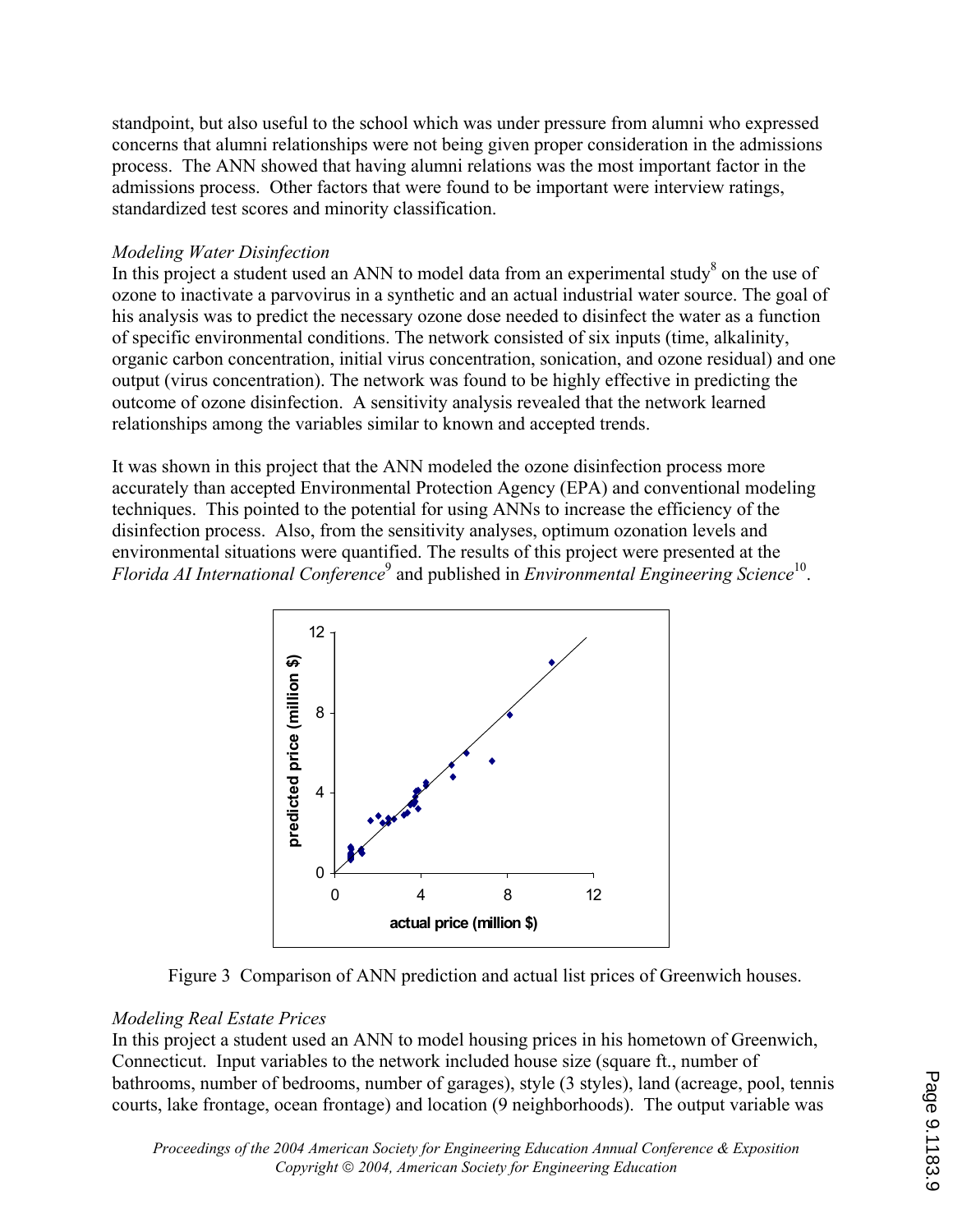standpoint, but also useful to the school which was under pressure from alumni who expressed concerns that alumni relationships were not being given proper consideration in the admissions process. The ANN showed that having alumni relations was the most important factor in the admissions process. Other factors that were found to be important were interview ratings, standardized test scores and minority classification.

### *Modeling Water Disinfection*

In this project a student used an ANN to model data from an experimental study $\delta$  on the use of ozone to inactivate a parvovirus in a synthetic and an actual industrial water source. The goal of his analysis was to predict the necessary ozone dose needed to disinfect the water as a function of specific environmental conditions. The network consisted of six inputs (time, alkalinity, organic carbon concentration, initial virus concentration, sonication, and ozone residual) and one output (virus concentration). The network was found to be highly effective in predicting the outcome of ozone disinfection. A sensitivity analysis revealed that the network learned relationships among the variables similar to known and accepted trends.

It was shown in this project that the ANN modeled the ozone disinfection process more accurately than accepted Environmental Protection Agency (EPA) and conventional modeling techniques. This pointed to the potential for using ANNs to increase the efficiency of the disinfection process. Also, from the sensitivity analyses, optimum ozonation levels and environmental situations were quantified. The results of this project were presented at the Florida AI International Conference<sup>9</sup> and published in *Environmental Engineering Science*<sup>10</sup>.





### *Modeling Real Estate Prices*

In this project a student used an ANN to model housing prices in his hometown of Greenwich, Connecticut. Input variables to the network included house size (square ft., number of bathrooms, number of bedrooms, number of garages), style (3 styles), land (acreage, pool, tennis courts, lake frontage, ocean frontage) and location (9 neighborhoods). The output variable was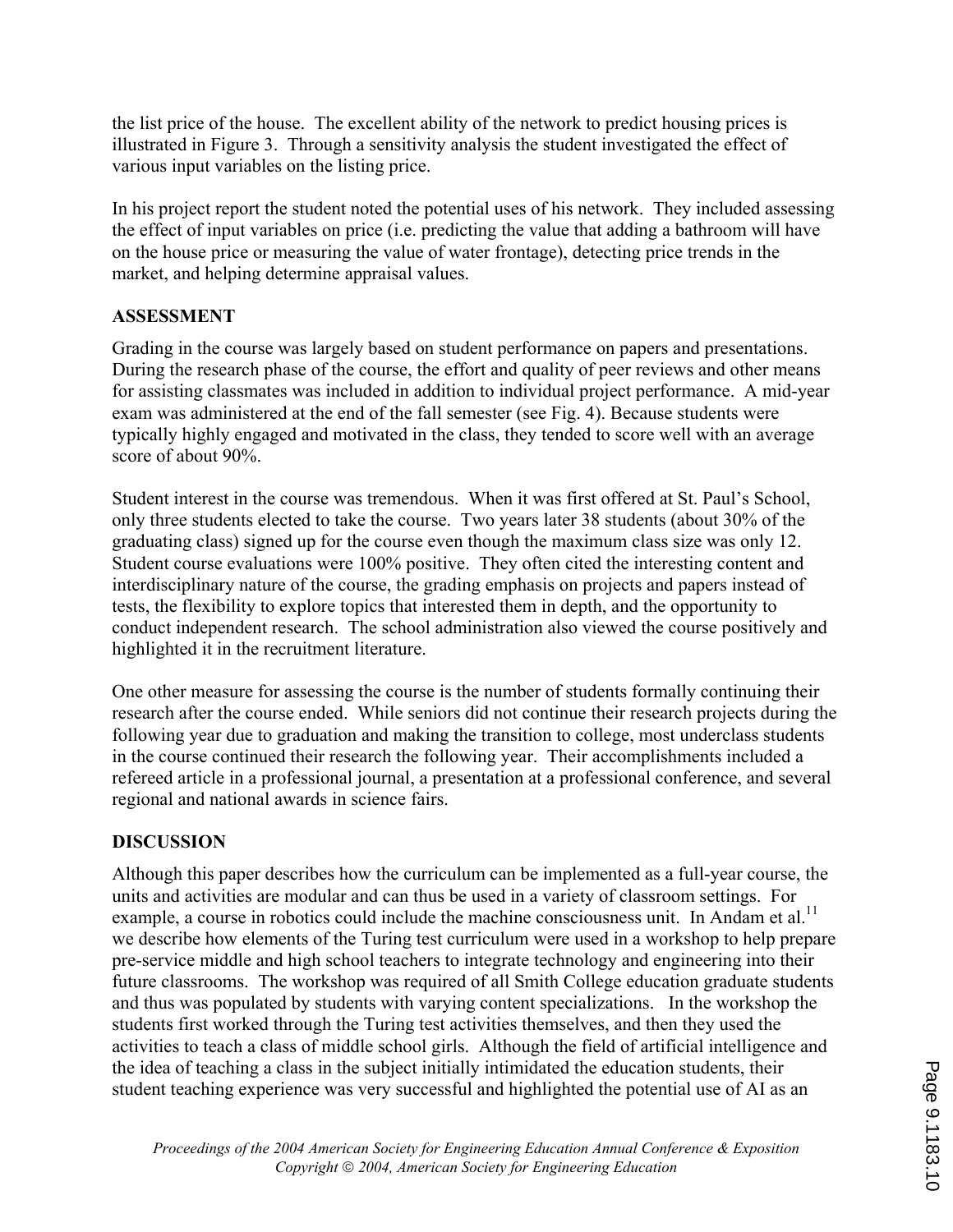the list price of the house. The excellent ability of the network to predict housing prices is illustrated in Figure 3. Through a sensitivity analysis the student investigated the effect of various input variables on the listing price.

In his project report the student noted the potential uses of his network. They included assessing the effect of input variables on price (i.e. predicting the value that adding a bathroom will have on the house price or measuring the value of water frontage), detecting price trends in the market, and helping determine appraisal values.

### **ASSESSMENT**

Grading in the course was largely based on student performance on papers and presentations. During the research phase of the course, the effort and quality of peer reviews and other means for assisting classmates was included in addition to individual project performance. A mid-year exam was administered at the end of the fall semester (see Fig. 4). Because students were typically highly engaged and motivated in the class, they tended to score well with an average score of about 90%.

Student interest in the course was tremendous. When it was first offered at St. Paul's School, only three students elected to take the course. Two years later 38 students (about 30% of the graduating class) signed up for the course even though the maximum class size was only 12. Student course evaluations were 100% positive. They often cited the interesting content and interdisciplinary nature of the course, the grading emphasis on projects and papers instead of tests, the flexibility to explore topics that interested them in depth, and the opportunity to conduct independent research. The school administration also viewed the course positively and highlighted it in the recruitment literature.

One other measure for assessing the course is the number of students formally continuing their research after the course ended. While seniors did not continue their research projects during the following year due to graduation and making the transition to college, most underclass students in the course continued their research the following year. Their accomplishments included a refereed article in a professional journal, a presentation at a professional conference, and several regional and national awards in science fairs.

### **DISCUSSION**

Although this paper describes how the curriculum can be implemented as a full-year course, the units and activities are modular and can thus be used in a variety of classroom settings. For example, a course in robotics could include the machine consciousness unit. In Andam et al.<sup>11</sup> we describe how elements of the Turing test curriculum were used in a workshop to help prepare pre-service middle and high school teachers to integrate technology and engineering into their future classrooms. The workshop was required of all Smith College education graduate students and thus was populated by students with varying content specializations. In the workshop the students first worked through the Turing test activities themselves, and then they used the activities to teach a class of middle school girls. Although the field of artificial intelligence and the idea of teaching a class in the subject initially intimidated the education students, their student teaching experience was very successful and highlighted the potential use of AI as an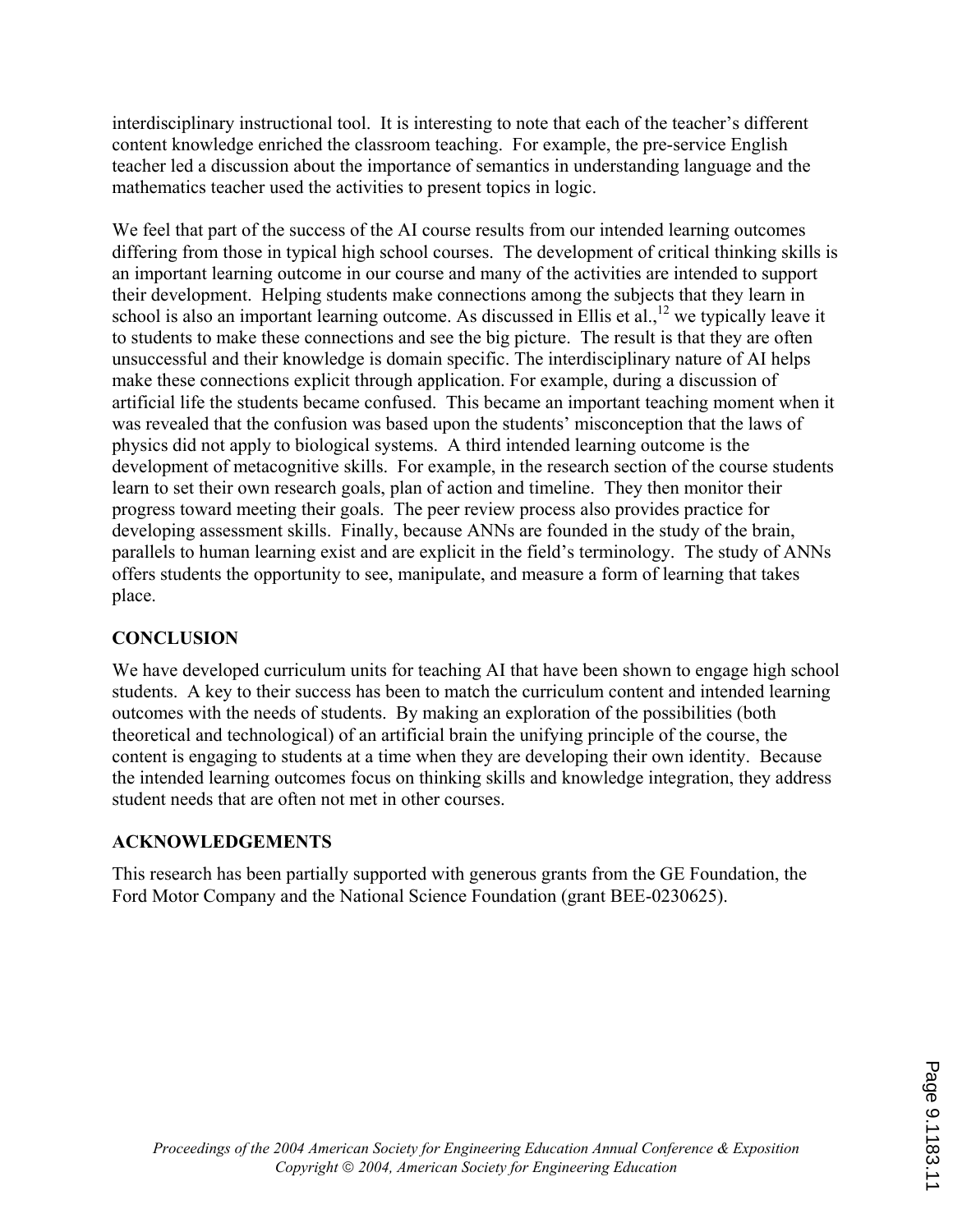interdisciplinary instructional tool. It is interesting to note that each of the teacher's different content knowledge enriched the classroom teaching. For example, the pre-service English teacher led a discussion about the importance of semantics in understanding language and the mathematics teacher used the activities to present topics in logic.

We feel that part of the success of the AI course results from our intended learning outcomes differing from those in typical high school courses. The development of critical thinking skills is an important learning outcome in our course and many of the activities are intended to support their development. Helping students make connections among the subjects that they learn in school is also an important learning outcome. As discussed in Ellis et al.,<sup>12</sup> we typically leave it to students to make these connections and see the big picture. The result is that they are often unsuccessful and their knowledge is domain specific. The interdisciplinary nature of AI helps make these connections explicit through application. For example, during a discussion of artificial life the students became confused. This became an important teaching moment when it was revealed that the confusion was based upon the students' misconception that the laws of physics did not apply to biological systems. A third intended learning outcome is the development of metacognitive skills. For example, in the research section of the course students learn to set their own research goals, plan of action and timeline. They then monitor their progress toward meeting their goals. The peer review process also provides practice for developing assessment skills. Finally, because ANNs are founded in the study of the brain, parallels to human learning exist and are explicit in the field's terminology. The study of ANNs offers students the opportunity to see, manipulate, and measure a form of learning that takes place.

### **CONCLUSION**

We have developed curriculum units for teaching AI that have been shown to engage high school students. A key to their success has been to match the curriculum content and intended learning outcomes with the needs of students. By making an exploration of the possibilities (both theoretical and technological) of an artificial brain the unifying principle of the course, the content is engaging to students at a time when they are developing their own identity. Because the intended learning outcomes focus on thinking skills and knowledge integration, they address student needs that are often not met in other courses.

### **ACKNOWLEDGEMENTS**

This research has been partially supported with generous grants from the GE Foundation, the Ford Motor Company and the National Science Foundation (grant BEE-0230625).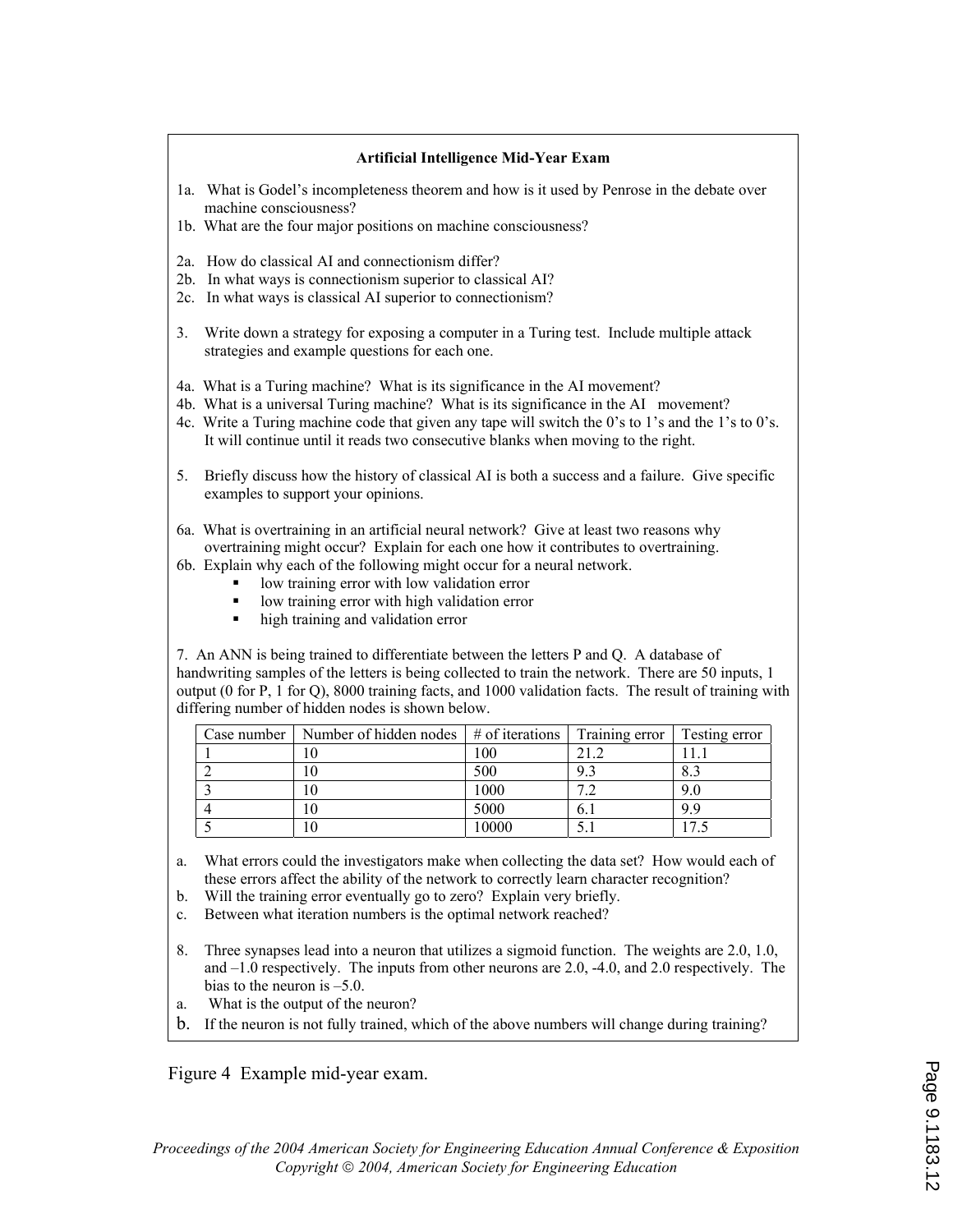#### **Artificial Intelligence Mid-Year Exam**

- 1a. What is Godel's incompleteness theorem and how is it used by Penrose in the debate over machine consciousness?
- 1b. What are the four major positions on machine consciousness?
- 2a. How do classical AI and connectionism differ?
- 2b. In what ways is connectionism superior to classical AI?
- 2c. In what ways is classical AI superior to connectionism?
- 3. Write down a strategy for exposing a computer in a Turing test. Include multiple attack strategies and example questions for each one.
- 4a. What is a Turing machine? What is its significance in the AI movement?
- 4b. What is a universal Turing machine? What is its significance in the AI movement?
- 4c. Write a Turing machine code that given any tape will switch the 0's to 1's and the 1's to 0's. It will continue until it reads two consecutive blanks when moving to the right.
- 5. Briefly discuss how the history of classical AI is both a success and a failure. Give specific examples to support your opinions.
- 6a. What is overtraining in an artificial neural network? Give at least two reasons why overtraining might occur? Explain for each one how it contributes to overtraining.
- 6b. Explain why each of the following might occur for a neural network.
	- low training error with low validation error
	- low training error with high validation error
	- high training and validation error

7. An ANN is being trained to differentiate between the letters P and Q. A database of handwriting samples of the letters is being collected to train the network. There are 50 inputs, 1 output (0 for P, 1 for Q), 8000 training facts, and 1000 validation facts. The result of training with differing number of hidden nodes is shown below.

| Case number | Number of hidden nodes $\frac{1}{2}$ # of iterations |       | Training error | Testing error  |
|-------------|------------------------------------------------------|-------|----------------|----------------|
|             |                                                      | 100   |                |                |
|             |                                                      | 500   | 9.3            | 8.3            |
|             |                                                      | 1000  |                | 9.0            |
|             |                                                      | 5000  | 0.1            | 9 9            |
|             |                                                      | 10000 |                | $\overline{ }$ |

- a. What errors could the investigators make when collecting the data set? How would each of these errors affect the ability of the network to correctly learn character recognition?
- b. Will the training error eventually go to zero? Explain very briefly.
- c. Between what iteration numbers is the optimal network reached?
- 8. Three synapses lead into a neuron that utilizes a sigmoid function. The weights are 2.0, 1.0, and –1.0 respectively. The inputs from other neurons are 2.0, -4.0, and 2.0 respectively. The bias to the neuron is –5.0.
- a. What is the output of the neuron?
- b. If the neuron is not fully trained, which of the above numbers will change during training?

Figure 4 Example mid-year exam.